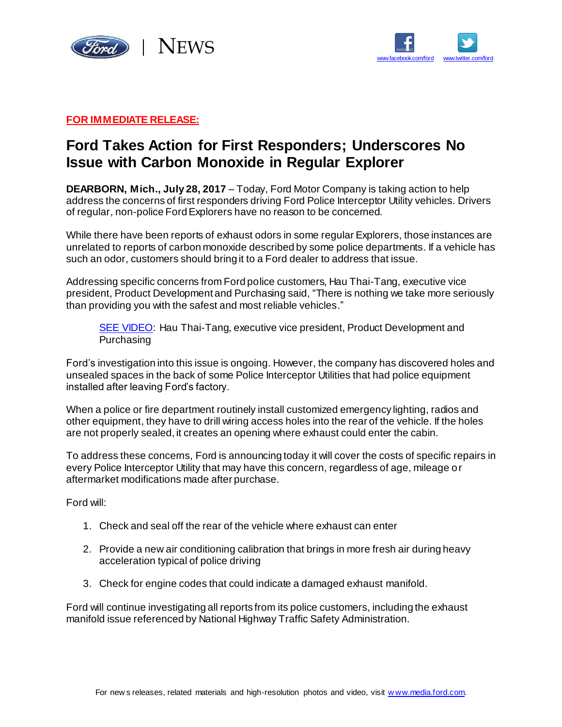



## **FOR IMMEDIATE RELEASE:**

## **Ford Takes Action for First Responders; Underscores No Issue with Carbon Monoxide in Regular Explorer**

**DEARBORN, Mich., July 28, 2017** – Today, Ford Motor Company is taking action to help address the concerns of first responders driving Ford Police Interceptor Utility vehicles. Drivers of regular, non-police Ford Explorers have no reason to be concerned.

While there have been reports of exhaust odors in some regular Explorers, those instances are unrelated to reports of carbon monoxide described by some police departments. If a vehicle has such an odor, customers should bring it to a Ford dealer to address that issue.

Addressing specific concerns from Ford police customers, Hau Thai-Tang, executive vice president, Product Development and Purchasing said, "There is nothing we take more seriously than providing you with the safest and most reliable vehicles."

[SEE VIDEO:](https://media.ford.com/content/fordmedia/fna/us/en/news/2017/07/28/police-utility-statement.html) Hau Thai-Tang, executive vice president, Product Development and Purchasing

Ford's investigation into this issue is ongoing. However, the company has discovered holes and unsealed spaces in the back of some Police Interceptor Utilities that had police equipment installed after leaving Ford's factory.

When a police or fire department routinely install customized emergency lighting, radios and other equipment, they have to drill wiring access holes into the rear of the vehicle. If the holes are not properly sealed, it creates an opening where exhaust could enter the cabin.

To address these concerns, Ford is announcing today it will cover the costs of specific repairs in every Police Interceptor Utility that may have this concern, regardless of age, mileage or aftermarket modifications made after purchase.

Ford will:

- 1. Check and seal off the rear of the vehicle where exhaust can enter
- 2. Provide a new air conditioning calibration that brings in more fresh air during heavy acceleration typical of police driving
- 3. Check for engine codes that could indicate a damaged exhaust manifold.

Ford will continue investigating all reports from its police customers, including the exhaust manifold issue referenced by National Highway Traffic Safety Administration.